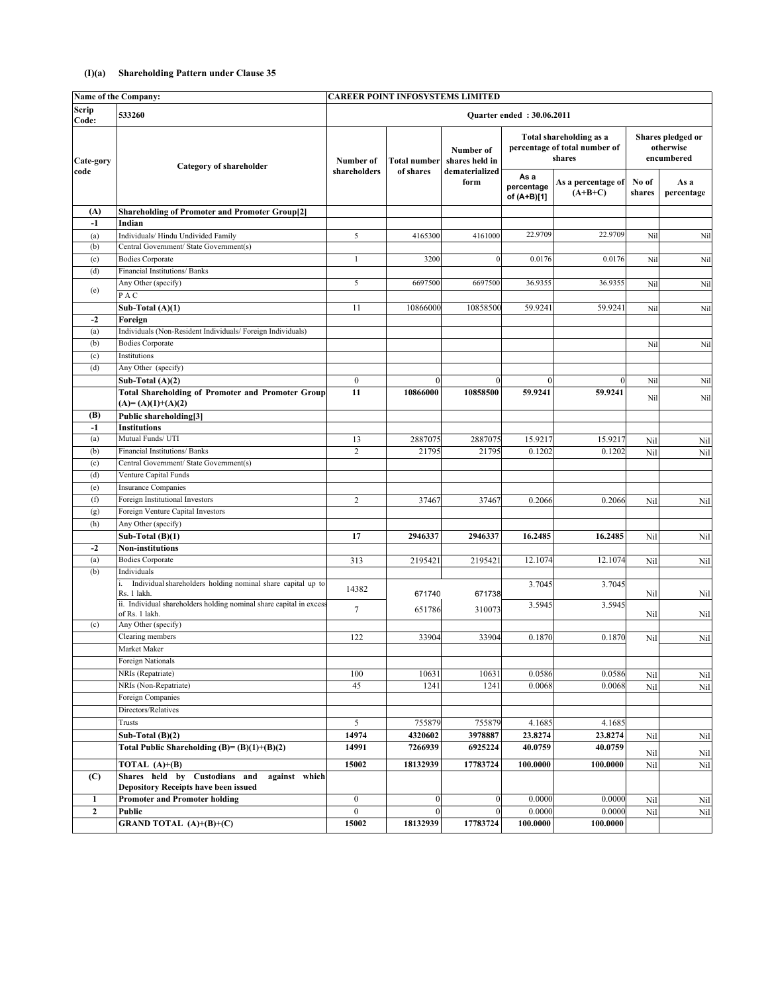# **(I)(a) Shareholding Pattern under Clause 35**

|                | Name of the Company:<br><b>CAREER POINT INFOSYSTEMS LIMITED</b>                               |                           |                   |                             |                                                                    |                                 |                                              |                    |
|----------------|-----------------------------------------------------------------------------------------------|---------------------------|-------------------|-----------------------------|--------------------------------------------------------------------|---------------------------------|----------------------------------------------|--------------------|
| Scrip<br>Code: | 533260                                                                                        | Quarter ended: 30.06.2011 |                   |                             |                                                                    |                                 |                                              |                    |
| Cate-gory      | Category of shareholder                                                                       | Number of                 | Total number      | Number of<br>shares held in | Total shareholding as a<br>percentage of total number of<br>shares |                                 | Shares pledged or<br>otherwise<br>encumbered |                    |
| code           |                                                                                               | shareholders              | of shares         | dematerialized<br>form      | As a<br>percentage<br>of (A+B)[1]                                  | As a percentage of<br>$(A+B+C)$ | No of<br>shares                              | As a<br>percentage |
| (A)            | <b>Shareholding of Promoter and Promoter Group[2]</b>                                         |                           |                   |                             |                                                                    |                                 |                                              |                    |
| $-1$           | Indian                                                                                        |                           |                   |                             |                                                                    |                                 |                                              |                    |
| (a)            | Individuals/Hindu Undivided Family                                                            | 5                         | 4165300           | 4161000                     | 22.9709                                                            | 22.9709                         | Nil                                          | Nil                |
| (b)<br>(c)     | Central Government/ State Government(s)<br><b>Bodies Corporate</b>                            | 1                         | 3200              | $\mathbf{0}$                | 0.0176                                                             | 0.0176                          |                                              |                    |
| (d)            | Financial Institutions/ Banks                                                                 |                           |                   |                             |                                                                    |                                 | Nil                                          | Nil                |
|                | Any Other (specify)                                                                           | 5                         | 6697500           | 6697500                     | 36.9355                                                            | 36.9355                         | Nil                                          | Nil                |
| (e)            | PAC                                                                                           |                           |                   |                             |                                                                    |                                 |                                              |                    |
|                | Sub-Total $(A)(1)$                                                                            | 11                        | 10866000          | 10858500                    | 59.9241                                                            | 59.9241                         | Nil                                          | Nil                |
| $-2$           | Foreign                                                                                       |                           |                   |                             |                                                                    |                                 |                                              |                    |
| (a)            | Individuals (Non-Resident Individuals/Foreign Individuals)                                    |                           |                   |                             |                                                                    |                                 |                                              |                    |
| (b)            | <b>Bodies Corporate</b>                                                                       |                           |                   |                             |                                                                    |                                 | Nil                                          | Nil                |
| (c)            | Institutions                                                                                  |                           |                   |                             |                                                                    |                                 |                                              |                    |
| (d)            | Any Other (specify)                                                                           |                           |                   |                             |                                                                    |                                 |                                              |                    |
|                | Sub-Total (A)(2)                                                                              | $\boldsymbol{0}$          | $\sqrt{ }$        | $\theta$                    | $\theta$                                                           | $\mathbf{0}$                    | Nil                                          | Nil                |
|                | <b>Total Shareholding of Promoter and Promoter Group</b><br>$(A)=(A)(1)+(A)(2)$               | 11                        | 10866000          | 10858500                    | 59.9241                                                            | 59.9241                         | Nil                                          | Nil                |
| (B)            | Public shareholding[3]                                                                        |                           |                   |                             |                                                                    |                                 |                                              |                    |
| -1             | <b>Institutions</b>                                                                           |                           |                   |                             |                                                                    |                                 |                                              |                    |
| (a)            | Mutual Funds/ UTI                                                                             | 13                        | 2887075           | 2887075                     | 15.9217                                                            | 15.9217                         | Nil                                          | Nil                |
| (b)            | Financial Institutions/ Banks                                                                 | $\overline{c}$            | 21795             | 21795                       | 0.1202                                                             | 0.1202                          | Nil                                          | Nil                |
| (c)            | Central Government/ State Government(s)                                                       |                           |                   |                             |                                                                    |                                 |                                              |                    |
| (d)            | Venture Capital Funds                                                                         |                           |                   |                             |                                                                    |                                 |                                              |                    |
| (e)            | <b>Insurance Companies</b>                                                                    |                           |                   |                             |                                                                    |                                 |                                              |                    |
| (f)            | Foreign Institutional Investors                                                               | $\overline{c}$            | 37467             | 37467                       | 0.2066                                                             | 0.2066                          | Nil                                          | Nil                |
| (g)            | Foreign Venture Capital Investors                                                             |                           |                   |                             |                                                                    |                                 |                                              |                    |
| (h)            | Any Other (specify)                                                                           | 17                        |                   |                             |                                                                    |                                 |                                              |                    |
| $-2$           | Sub-Total $(B)(1)$<br><b>Non-institutions</b>                                                 |                           | 2946337           | 2946337                     | 16.2485                                                            | 16.2485                         | Nil                                          | Nil                |
| (a)            | <b>Bodies Corporate</b>                                                                       | 313                       | 2195421           | 2195421                     | 12.1074                                                            | 12.1074                         | Nil                                          | Nil                |
| (b)            | Individuals                                                                                   |                           |                   |                             |                                                                    |                                 |                                              |                    |
|                | Individual shareholders holding nominal share capital up to                                   |                           |                   |                             | 3.7045                                                             | 3.7045                          |                                              |                    |
|                | Rs. 1 lakh.                                                                                   | 14382                     | 671740            | 671738                      |                                                                    |                                 | Nil                                          | Nil                |
|                | ii. Individual shareholders holding nominal share capital in excess<br>of Rs. 1 lakh.         | $\tau$                    | 651786            | 310073                      | 3.5945                                                             | 3.5945                          | Nil                                          | Nil                |
| (c)            | Any Other (specify)                                                                           |                           |                   |                             |                                                                    |                                 |                                              |                    |
|                | Clearing members                                                                              | 122                       | 33904             | 33904                       | 0.1870                                                             | 0.1870                          | Nil                                          | Nil                |
|                | Market Maker                                                                                  |                           |                   |                             |                                                                    |                                 |                                              |                    |
|                | Foreign Nationals                                                                             |                           |                   |                             |                                                                    |                                 |                                              |                    |
|                | NRIs (Repatriate)                                                                             | 100                       | 10631             | 10631                       | 0.0586                                                             | 0.0586                          | Nil                                          | Nil                |
|                | NRIs (Non-Repatriate)                                                                         | 45                        | 1241              | 1241                        | 0.0068                                                             | 0.0068                          | Nil                                          | Nil                |
|                | Foreign Companies<br>Directors/Relatives                                                      |                           |                   |                             |                                                                    |                                 |                                              |                    |
|                | Trusts                                                                                        | 5                         |                   |                             |                                                                    |                                 |                                              |                    |
|                | Sub-Total $(B)(2)$                                                                            | 14974                     | 755879<br>4320602 | 755879<br>3978887           | 4.1685<br>23.8274                                                  | 4.1685<br>23.8274               |                                              |                    |
|                | Total Public Shareholding $(B)=(B)(1)+(B)(2)$                                                 | 14991                     | 7266939           | 6925224                     | 40.0759                                                            | 40.0759                         | Nil                                          | Nil                |
|                |                                                                                               |                           |                   |                             |                                                                    |                                 | Nil                                          | Nil                |
|                | TOTAL $(A)+(B)$                                                                               | 15002                     | 18132939          | 17783724                    | 100.0000                                                           | 100.0000                        | Nil                                          | Nil                |
| (C)            | Shares held by Custodians and<br>against which<br><b>Depository Receipts have been issued</b> |                           |                   |                             |                                                                    |                                 |                                              |                    |
| 1              | <b>Promoter and Promoter holding</b>                                                          | $\boldsymbol{0}$          | $\mathbf{0}$      | $\mathbf{0}$                | 0.0000                                                             | 0.0000                          | Nil                                          | Nil                |
| $\overline{2}$ | Public                                                                                        | $\boldsymbol{0}$          | $\theta$          | $\mathbf{0}$                | 0.0000                                                             | 0.0000                          | Nil                                          | Nil                |
|                | GRAND TOTAL (A)+(B)+(C)                                                                       | 15002                     | 18132939          | 17783724                    | 100.0000                                                           | 100.0000                        |                                              |                    |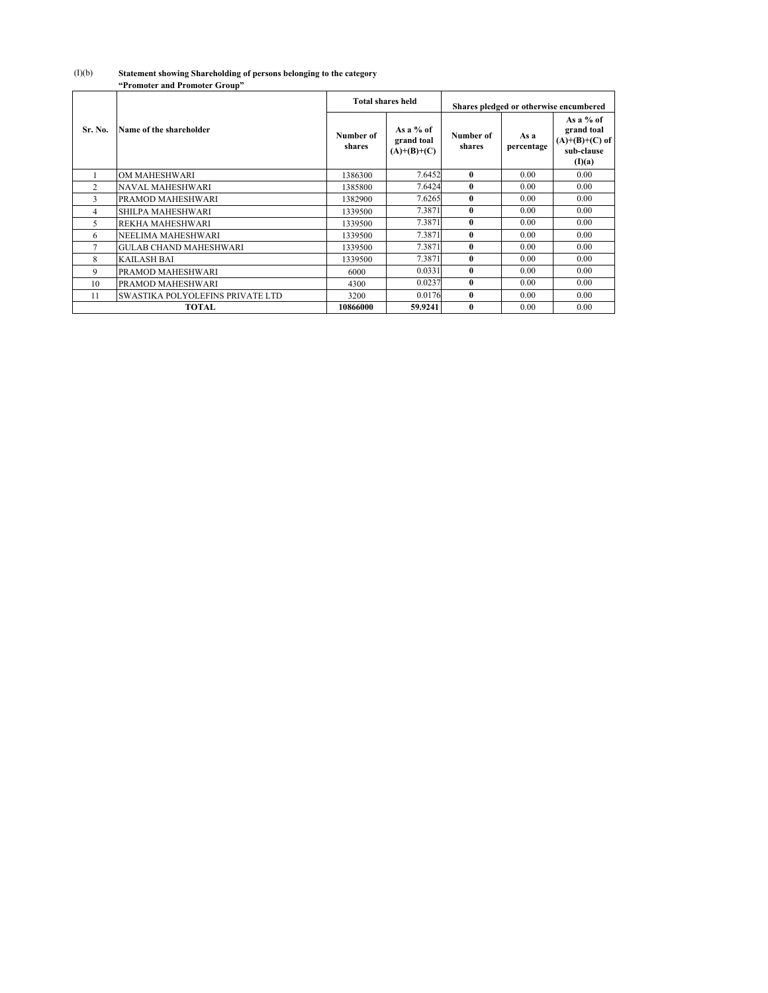#### (I)(b) **Statement showing Shareholding of persons belonging to the category "Promoter and Promoter Group"**

|                |                                  | <b>Total shares held</b> |                                          | Shares pledged or otherwise encumbered |                    |                                                                     |
|----------------|----------------------------------|--------------------------|------------------------------------------|----------------------------------------|--------------------|---------------------------------------------------------------------|
| Sr. No.        | Name of the shareholder          | Number of<br>shares      | As a % of<br>grand toal<br>$(A)+(B)+(C)$ | Number of<br>shares                    | As a<br>percentage | As a % of<br>grand toal<br>$(A)+(B)+(C)$ of<br>sub-clause<br>(I)(a) |
|                | OM MAHESHWARI                    | 1386300                  | 7.6452                                   | 0                                      | 0.00               | 0.00                                                                |
| $\overline{c}$ | NAVAL MAHESHWARI                 | 1385800                  | 7.6424                                   | 0                                      | 0.00               | 0.00                                                                |
| 3              | PRAMOD MAHESHWARI                | 1382900                  | 7.6265                                   | 0                                      | 0.00               | 0.00                                                                |
| 4              | SHILPA MAHESHWARI                | 1339500                  | 7.3871                                   | 0                                      | 0.00               | 0.00                                                                |
| 5              | REKHA MAHESHWARI                 | 1339500                  | 7.3871                                   | 0                                      | 0.00               | 0.00                                                                |
| 6              | NEELIMA MAHESHWARI               | 1339500                  | 7.3871                                   | 0                                      | 0.00               | 0.00                                                                |
| 7              | <b>GULAB CHAND MAHESHWARI</b>    | 1339500                  | 7.3871                                   | 0                                      | 0.00               | 0.00                                                                |
| 8              | KAILASH BAI                      | 1339500                  | 7.3871                                   | 0                                      | 0.00               | 0.00                                                                |
| 9              | PRAMOD MAHESHWARI                | 6000                     | 0.0331                                   | 0                                      | 0.00               | 0.00                                                                |
| 10             | PRAMOD MAHESHWARI                | 4300                     | 0.0237                                   | 0                                      | 0.00               | 0.00                                                                |
| 11             | SWASTIKA POLYOLEFINS PRIVATE LTD | 3200                     | 0.0176                                   | 0                                      | 0.00               | 0.00                                                                |
|                | <b>TOTAL</b>                     | 10866000                 | 59.9241                                  | 0                                      | 0.00               | 0.00                                                                |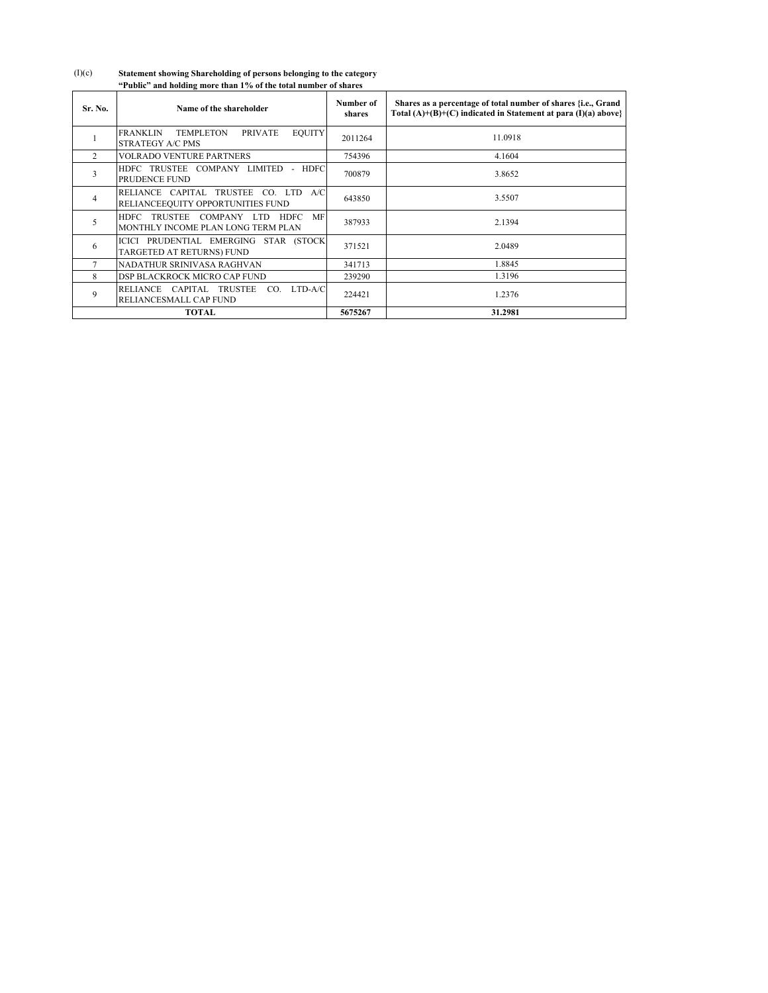| (I)(c) | Statement showing Shareholding of persons belonging to the category |
|--------|---------------------------------------------------------------------|
|        | "Public" and holding more than 1% of the total number of shares     |

| Sr. No.        | Name of the shareholder                                                                           | Number of<br>shares | Shares as a percentage of total number of shares {i.e., Grand<br>Total $(A)+(B)+(C)$ indicated in Statement at para $(I)(a)$ above |
|----------------|---------------------------------------------------------------------------------------------------|---------------------|------------------------------------------------------------------------------------------------------------------------------------|
|                | <b>FRANKLIN</b><br><b>TEMPLETON</b><br><b>EQUITY</b><br><b>PRIVATE</b><br><b>STRATEGY A/C PMS</b> | 2011264             | 11.0918                                                                                                                            |
| $\mathfrak{D}$ | <b>VOLRADO VENTURE PARTNERS</b>                                                                   | 754396              | 4.1604                                                                                                                             |
| 3              | HDFC TRUSTEE COMPANY LIMITED - HDFC<br>PRUDENCE FUND                                              | 700879              | 3.8652                                                                                                                             |
| 4              | RELIANCE CAPITAL TRUSTEE CO. LTD A/C<br>RELIANCEEQUITY OPPORTUNITIES FUND                         | 643850              | 3.5507                                                                                                                             |
| 5              | HDFC TRUSTEE<br>COMPANY LTD<br><b>HDFC</b><br><b>MF</b><br>MONTHLY INCOME PLAN LONG TERM PLAN     | 387933              | 2.1394                                                                                                                             |
| 6              | ICICI PRUDENTIAL EMERGING STAR (STOCK<br>TARGETED AT RETURNS) FUND                                | 371521              | 2.0489                                                                                                                             |
| $\tau$         | NADATHUR SRINIVASA RAGHVAN                                                                        | 341713              | 1.8845                                                                                                                             |
| 8              | DSP BLACKROCK MICRO CAP FUND                                                                      | 239290              | 1.3196                                                                                                                             |
| 9              | RELIANCE CAPITAL TRUSTEE<br>CO.<br>LTD-A/C<br>RELIANCESMALL CAP FUND                              | 224421              | 1.2376                                                                                                                             |
|                | <b>TOTAL</b>                                                                                      | 5675267             | 31.2981                                                                                                                            |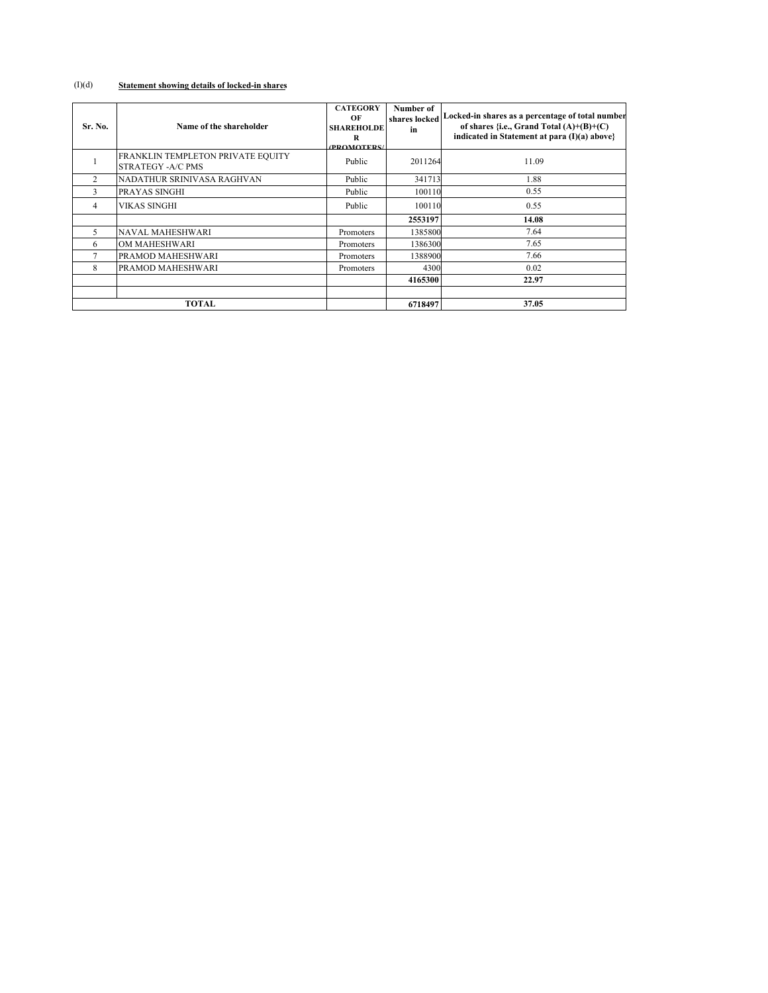# (I)(d) **Statement showing details of locked-in shares**

| <b>Sr. No.</b> | Name of the shareholder                                 | <b>CATEGORY</b><br>OF<br><b>SHAREHOLDE</b><br>R<br>(PROMOTERS) | Number of<br>shares locked<br>in | Locked-in shares as a percentage of total number<br>of shares {i.e., Grand Total $(A)+(B)+(C)$<br>indicated in Statement at para (I)(a) above? |
|----------------|---------------------------------------------------------|----------------------------------------------------------------|----------------------------------|------------------------------------------------------------------------------------------------------------------------------------------------|
|                | FRANKLIN TEMPLETON PRIVATE EQUITY<br>STRATEGY - A/C PMS | Public                                                         | 2011264                          | 11.09                                                                                                                                          |
| $\overline{2}$ | NADATHUR SRINIVASA RAGHVAN                              | Public                                                         | 341713                           | 1.88                                                                                                                                           |
| 3              | PRAYAS SINGHI                                           | Public                                                         | 100110                           | 0.55                                                                                                                                           |
| $\overline{4}$ | VIKAS SINGHI                                            | Public                                                         | 100110                           | 0.55                                                                                                                                           |
|                |                                                         |                                                                | 2553197                          | 14.08                                                                                                                                          |
| 5              | NAVAL MAHESHWARI                                        | Promoters                                                      | 1385800                          | 7.64                                                                                                                                           |
| 6              | OM MAHESHWARI                                           | Promoters                                                      | 1386300                          | 7.65                                                                                                                                           |
|                | PRAMOD MAHESHWARI                                       | Promoters                                                      | 1388900                          | 7.66                                                                                                                                           |
| 8              | PRAMOD MAHESHWARI                                       | Promoters                                                      | 4300                             | 0.02                                                                                                                                           |
|                |                                                         |                                                                | 4165300                          | 22.97                                                                                                                                          |
|                |                                                         |                                                                |                                  |                                                                                                                                                |
|                | <b>TOTAL</b>                                            |                                                                | 6718497                          | 37.05                                                                                                                                          |